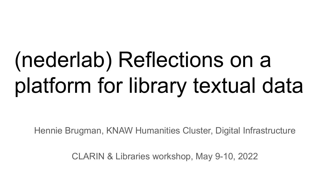# (nederlab) Reflections on a platform for library textual data

Hennie Brugman, KNAW Humanities Cluster, Digital Infrastructure

CLARIN & Libraries workshop, May 9-10, 2022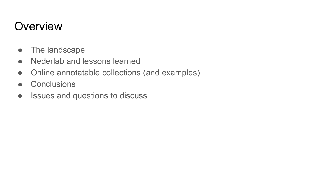# **Overview**

- The landscape
- Nederlab and lessons learned
- Online annotatable collections (and examples)
- Conclusions
- Issues and questions to discuss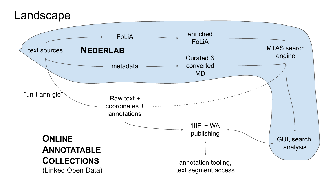

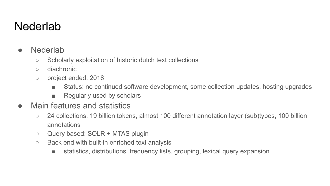### **Nederlab**

- Nederlab
	- Scholarly exploitation of historic dutch text collections
	- diachronic
	- project ended: 2018
		- Status: no continued software development, some collection updates, hosting upgrades
		- Regularly used by scholars
- Main features and statistics
	- 24 collections, 19 billion tokens, almost 100 different annotation layer (sub)types, 100 billion annotations
	- Query based: SOLR + MTAS plugin
	- Back end with built-in enriched text analysis
		- statistics, distributions, frequency lists, grouping, lexical query expansion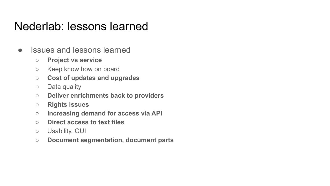### Nederlab: lessons learned

- Issues and lessons learned
	- **○ Project vs service**
	- Keep know how on board
	- **Cost of updates and upgrades**
	- Data quality
	- **○ Deliver enrichments back to providers**
	- **○ Rights issues**
	- **○ Increasing demand for access via API**
	- **○ Direct access to text files**
	- Usability, GUI
	- **○ Document segmentation, document parts**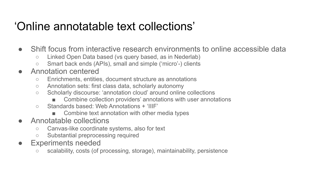## 'Online annotatable text collections'

- Shift focus from interactive research environments to online accessible data
	- Linked Open Data based (vs query based, as in Nederlab)
	- Smart back ends (APIs), small and simple ('micro'-) clients
- Annotation centered
	- Enrichments, entities, document structure as annotations
	- Annotation sets: first class data, scholarly autonomy
	- Scholarly discourse: 'annotation cloud' around online collections
		- Combine collection providers' annotations with user annotations
	- Standards based: Web Annotations + 'IIIF'
		- Combine text annotation with other media types
- Annotatable collections
	- Canvas-like coordinate systems, also for text
	- Substantial preprocessing required
- Experiments needed
	- scalability, costs (of processing, storage), maintainability, persistence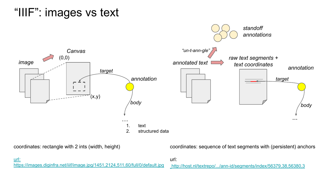# "IIIF": images vs text



coordinates: rectangle with 2 ints (width, height)

coordinates: sequence of text segments with (persistent) anchors

[url:](https://images.diginfra.net/iiif/NL-HaNA_1.01.02/3783/NL-HaNA_1.01.02_3783_0285.jpg/1451,2124,511,60/full/0/default.jpg) [https://images.diginfra.net/iiif/image.jpg/1451,2124,511,60/full/0/default.jpg](https://images.diginfra.net/iiif/NL-HaNA_1.01.02/3783/NL-HaNA_1.01.02_3783_0285.jpg/1451,2124,511,60/full/0/default.jpg)

url:

[http://host.nl/textrepo/.../ann-id/segments/index/56379,38,56380,3](http://localhost:8000/textrepo/view/versions/63d9fe2d-3a3a-405b-8435-0490b886638f/segments/index/56379/38/56380/3)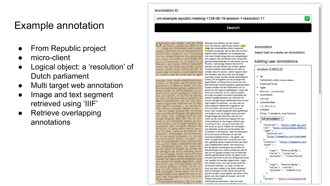### Example annotation

- From Republic project
- micro-client
- Logical object: a 'resolution' of Dutch parliament
- Multi target web annotation
- Image and text segment retrieved using 'IIIF'
- Retrieve overlapping annotations

#### Annotation ID

#### urn:example:republic:meeting-1728-06-19-session-1-resolution-17

Search

Nefangen een Mitlive van den Raudi Ntfongen een Miflive von den Rood: van Staste, gefchreven alhier in den Hage den feventienden defer loopende maandt; houdende, dat op den een en twintightlen Mey laatflieden ter Vergaderinge van haar Hoogh Mogende was uytgebragnt een rapport van de Heeren haar Hoogh Mogende Gedeputeerden tot de faaken van de Finantie, met cenige Heeren Gecommitreerden uyt den Raadt van Staate, geëxanineert hadden haare Miffive van den fevenden daar te vooren; welck rapport daar toe tendeert, dat het profyt van de jegen-

woordigh onder handen zijnde Generaliteyts Loterve, en het geene van de voorige was geprofiteert, te famen ter fomme van honders feventigh duyfent guidens, geemployeert onden werden tot de Fortification, om redenen by het rapport geallegeert ; dogh dat daar op is alsdoen, en foo veel fy weeten, tot nogh toe geen conclufie is gevallen; de Heeren Gedeputeerden van de twee Proincien aangenomen hebbende haar in weynigh dagen te verklaren, en vas een andere verklaart hebbende ongelaft te zijn. Dat fy hadden gemeent niet te konnen afzyn haar Hoogh Mogende defe gefteltheye van faaken voor te dragen waar uyt haar Hoogh Mogende fullen fien dat de conclufie op het voorfchreve rapport ten uytterile preffectt, en by langer uytflel fy genoodtfaackt zijn, tot groot discredit van het Landr, en groot nadeel van de begonnen Wereken, ende van de fecuriteyt der Frontieren, in dit fayfoen, dat het bequaamfle is, her werek te fhaken, of, wyl nitt verantwoordelijck fchynt, het geldt, dat daar toe geemployeert foude konnen werden, geteedt zijnde, ondertuffchen dat daar over gedelibereert werdt, het werek buyten fijn geheel te brengen, by provifie uyt die penningen foo veel te ontleenen, als tot her aan de gangh houden van de Wercken abfolut gerequireert wordt, het geen fy vertrouwen dat haar in een foo dringende noodt niet qualijck fal werden afgenomen ; dogh het welcke maar voor een korten tydt foude konnen freeken, en haar, na het verloop van dien, weder in de felve verlegentheyt te brengen, en het werck wel aan de gangh houden, maar eghter niet doen voortgaan, met die kraght en fpoedt, als in dit aifoen behoorde. Verfoeckende derhalven, dat het meer- Verfoeckende derholven, dot het meer-

& NP van Staate, gefchreven alhier in den Hage den feventienden defer loopende magndt; houdende, dat op den een en twin tighften Mey laatftleden ter Vergaderinge van haar Hoogh Mogende was uytgebragnt ecn rapport van de Heeren haar Hoogh Mo. gende Gedeputeerden tor de faaken van de Finartie . met eenige Heeren Gecommit teerden uyt den Raads van Sraate, geëxa mineert hadden haare Miflive van den fe: venden daar te vooren ; welck rapport daar toe tendeert, dat het profyt van de jegen: woordigh onder handen zijnde Generaliteyts Loteryc, en het geene van de voorige was geprofiteert, te famen ter fomme van hondert feventigh duyfent guldens, geëmployeert fouden werden tot de Fortificatien, om redenen by het rapport geallegeert ; dogh dat daar op is alsdoen, en foo veel fy weeten, tot nogh toe geen conclufie is gevallen; de Heeren Gedeputeerden van de twee Provincien aangenomen hebbende haar in wevnigh dagen te verklaren, en vam een andere verklaart hebbende ongelaft te zijn. Dat fy hadden gemeent niet te konnen afzyn haar Hoogh Mogende defe gefteltheyt van faaken voor ze dragen waar uyt haar Hoogh Mogende fullen fien dat de conclufic op het voorfchreve rapport ten uvttcrite preffeert, en by langer uytftel fy genoodrfaackt zijn, tot groot discredit van het Landt, en groot nadeel van de begonnen Wercken, ende van de fecuriteyt der Frontieren, in dit fay{oen, dat het bequaamfte is, het werck te ftaaken, of, wyl niet verantwoordelijck fchynt, het geldt, dat daar toe geëmploveert foude konnen werden, gereedt zijnde, ondertufTchen dat daar over oedelibereert werdt, het werck buyten fijn geheel te brengen, by provifie uyt die penningen {oo veel te ontieenen, als tot het aan de gangh houden van de Wereken abfolut gereduireert wordt, het geen fy vertrouwen dat haar in een foo dringende noodt nier qualijck fal werden afgenomen; dogh het welcke maar voor een korten tydt {0ude konnen ftrecken, en haar, na bet verloop van dien, weder in de {elve verlegentheyt te brengen, en bet werck wel aan de ganeh houden, maar eghter niet doen voortgaan, met die kraght en fpoedt, als in dit (aifoen behoorde.

aldo cannact ton fogodiabitan tot a

Annotator

Select text to create an annotation

 $\overline{\checkmark}$ 

#### **Existina user annotations**

 $location(1,38)(2,3)$ 

 $\bullet$  id:

588268d2-c9d2-4ece-bbaeb4e8a2d7a1da

- type:
- Entity (location)
- · comment:
- revise
- · coordinates:
- $(1, 38)$  $(2, 3)$
- creator:

http://example.org/hennie

full annotation  $\sim$ 

```
"@context": "http://www.w3.org
"id": "http://elucidate:8080/a
"type": [
  "Annotation",
  http://example.org/customwe
1<sub>r</sub>"creator": "http://example.org
"body": ["type": "TextualBody",
    "value": "location",
    "purpose": "classifying"
  },
    "type": "TextualBody",
    "value": "revise",
    "purpose": "commenting"
"target": "http://localhost:80
```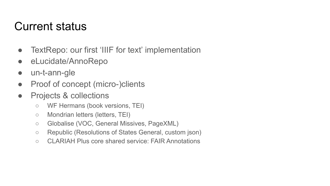### Current status

- TextRepo: our first 'IIIF for text' implementation
- eLucidate/AnnoRepo
- un-t-ann-gle
- Proof of concept (micro-)clients
- Projects & collections
	- WF Hermans (book versions, TEI)
	- Mondrian letters (letters, TEI)
	- Globalise (VOC, General Missives, PageXML)
	- Republic (Resolutions of States General, custom json)
	- CLARIAH Plus core shared service: FAIR Annotations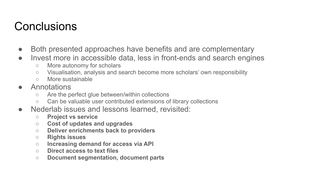# **Conclusions**

- Both presented approaches have benefits and are complementary
- Invest more in accessible data, less in front-ends and search engines
	- More autonomy for scholars
	- Visualisation, analysis and search become more scholars' own responsibility
	- More sustainable
- Annotations
	- Are the perfect glue between/within collections
	- Can be valuable user contributed extensions of library collections
- Nederlab issues and lessons learned, revisited:
	- **○ Project vs service**
	- **Cost of updates and upgrades**
	- **○ Deliver enrichments back to providers**
	- **○ Rights issues**
	- **○ Increasing demand for access via API**
	- **○ Direct access to text files**
	- **○ Document segmentation, document parts**